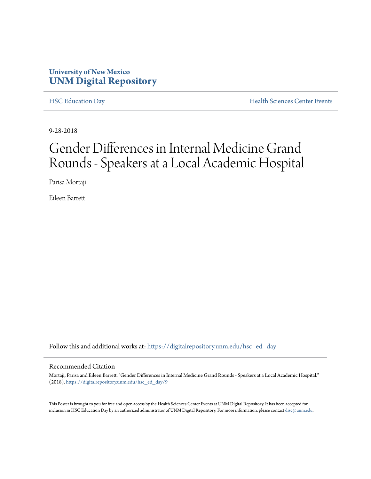### **University of New Mexico [UNM Digital Repository](https://digitalrepository.unm.edu?utm_source=digitalrepository.unm.edu%2Fhsc_ed_day%2F9&utm_medium=PDF&utm_campaign=PDFCoverPages)**

[HSC Education Day](https://digitalrepository.unm.edu/hsc_ed_day?utm_source=digitalrepository.unm.edu%2Fhsc_ed_day%2F9&utm_medium=PDF&utm_campaign=PDFCoverPages) **[Health Sciences Center Events](https://digitalrepository.unm.edu/hsc_events?utm_source=digitalrepository.unm.edu%2Fhsc_ed_day%2F9&utm_medium=PDF&utm_campaign=PDFCoverPages)** 

9-28-2018

### Gender Differences in Internal Medicine Grand Rounds - Speakers at a Local Academic Hospital

Parisa Mortaji

Eileen Barrett

Follow this and additional works at: [https://digitalrepository.unm.edu/hsc\\_ed\\_day](https://digitalrepository.unm.edu/hsc_ed_day?utm_source=digitalrepository.unm.edu%2Fhsc_ed_day%2F9&utm_medium=PDF&utm_campaign=PDFCoverPages)

#### Recommended Citation

Mortaji, Parisa and Eileen Barrett. "Gender Differences in Internal Medicine Grand Rounds - Speakers at a Local Academic Hospital." (2018). [https://digitalrepository.unm.edu/hsc\\_ed\\_day/9](https://digitalrepository.unm.edu/hsc_ed_day/9?utm_source=digitalrepository.unm.edu%2Fhsc_ed_day%2F9&utm_medium=PDF&utm_campaign=PDFCoverPages)

This Poster is brought to you for free and open access by the Health Sciences Center Events at UNM Digital Repository. It has been accepted for inclusion in HSC Education Day by an authorized administrator of UNM Digital Repository. For more information, please contact [disc@unm.edu](mailto:disc@unm.edu).